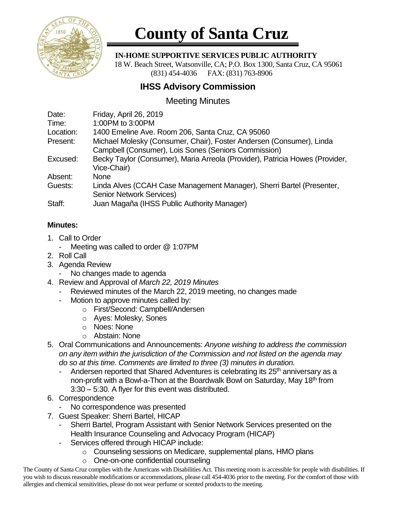

# **County of Santa Cruz**

 **IN-HOME SUPPORTIVE SERVICES PUBLIC AUTHORITY**

 18 W. Beach Street, Watsonville, CA; P.O. Box 1300, Santa Cruz, CA 95061 (831) 454-4036 FAX: (831) 763-8906

## **IHSS Advisory Commission**

## Meeting Minutes

| Date:     | Friday, April 26, 2019                                                       |
|-----------|------------------------------------------------------------------------------|
| Time:     | 1:00PM to 3:00PM                                                             |
| Location: | 1400 Emeline Ave. Room 206, Santa Cruz, CA 95060                             |
| Present:  | Michael Molesky (Consumer, Chair), Foster Andersen (Consumer), Linda         |
|           | Campbell (Consumer), Lois Sones (Seniors Commission)                         |
| Excused:  | Becky Taylor (Consumer), Maria Arreola (Provider), Patricia Howes (Provider, |
|           | Vice-Chair)                                                                  |
| Absent:   | <b>None</b>                                                                  |
| Guests:   | Linda Alves (CCAH Case Management Manager), Sherri Bartel (Presenter,        |
|           | <b>Senior Network Services)</b>                                              |
| Staff:    | Juan Magaña (IHSS Public Authority Manager)                                  |

### **Minutes:**

- 1. Call to Order
	- Meeting was called to order @ 1:07PM
- 2. Roll Call
- 3. Agenda Review
	- No changes made to agenda
- 4. Review and Approval of *March 22, 2019 Minutes*
	- Reviewed minutes of the March 22, 2019 meeting, no changes made
	- Motion to approve minutes called by:
		- o First/Second: Campbell/Andersen
		- o Ayes: Molesky, Sones
		- o Noes: None
		- o Abstain: None
- 5. Oral Communications and Announcements: *Anyone wishing to address the commission on any item within the jurisdiction of the Commission and not listed on the agenda may do so at this time. Comments are limited to three (3) minutes in duration.*
	- Andersen reported that Shared Adventures is celebrating its  $25<sup>th</sup>$  anniversary as a non-profit with a Bowl-a-Thon at the Boardwalk Bowl on Saturday, May 18<sup>th</sup> from 3:30 – 5:30. A flyer for this event was distributed.
- 6. Correspondence
	- No correspondence was presented
- 7. Guest Speaker: Sherri Bartel, HICAP
	- Sherri Bartel, Program Assistant with Senior Network Services presented on the Health Insurance Counseling and Advocacy Program (HICAP)
	- Services offered through HICAP include:
		- o Counseling sessions on Medicare, supplemental plans, HMO plans
		- o One-on-one confidential counseling

The County of Santa Cruz complies with the Americans with Disabilities Act. This meeting room is accessible for people with disabilities. If you wish to discuss reasonable modifications or accommodations, please call 454-4036 prior to the meeting. For the comfort of those with allergies and chemical sensitivities, please do not wear perfume or scented products to the meeting.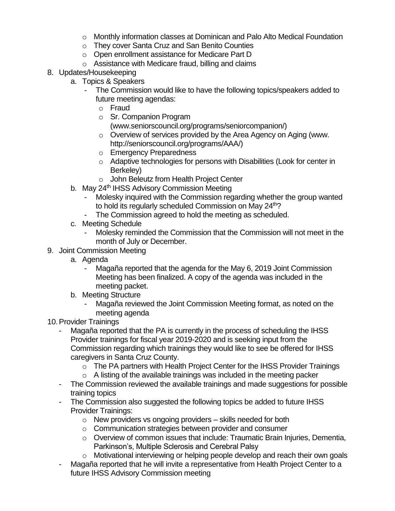- $\circ$  Monthly information classes at Dominican and Palo Alto Medical Foundation
- o They cover Santa Cruz and San Benito Counties
- o Open enrollment assistance for Medicare Part D
- o Assistance with Medicare fraud, billing and claims
- 8. Updates/Housekeeping
	- a. Topics & Speakers
		- The Commission would like to have the following topics/speakers added to future meeting agendas:
			- o Fraud
			- o Sr. Companion Program
				- (www.seniorscouncil.org/programs/seniorcompanion/)
			- o Overview of services provided by the Area Agency on Aging (www. http://seniorscouncil.org/programs/AAA/)
			- o Emergency Preparedness
			- o Adaptive technologies for persons with Disabilities (Look for center in Berkeley)
			- o John Beleutz from Health Project Center
	- b. May 24<sup>th</sup> IHSS Advisory Commission Meeting
		- Molesky inquired with the Commission regarding whether the group wanted to hold its regularly scheduled Commission on May 24<sup>th</sup>?
		- The Commission agreed to hold the meeting as scheduled.
	- c. Meeting Schedule
		- Molesky reminded the Commission that the Commission will not meet in the month of July or December.
- 9. Joint Commission Meeting
	- a. Agenda
		- Magaña reported that the agenda for the May 6, 2019 Joint Commission Meeting has been finalized. A copy of the agenda was included in the meeting packet.
	- b. Meeting Structure
		- Magaña reviewed the Joint Commission Meeting format, as noted on the meeting agenda
- 10.Provider Trainings
	- Magaña reported that the PA is currently in the process of scheduling the IHSS Provider trainings for fiscal year 2019-2020 and is seeking input from the Commission regarding which trainings they would like to see be offered for IHSS caregivers in Santa Cruz County.
		- o The PA partners with Health Project Center for the IHSS Provider Trainings
		- $\circ$  A listing of the available trainings was included in the meeting packer
	- The Commission reviewed the available trainings and made suggestions for possible training topics
	- The Commission also suggested the following topics be added to future IHSS Provider Trainings:
		- $\circ$  New providers vs ongoing providers skills needed for both
		- o Communication strategies between provider and consumer
		- $\circ$  Overview of common issues that include: Traumatic Brain Injuries, Dementia, Parkinson's, Multiple Sclerosis and Cerebral Palsy
		- o Motivational interviewing or helping people develop and reach their own goals
	- Magaña reported that he will invite a representative from Health Project Center to a future IHSS Advisory Commission meeting